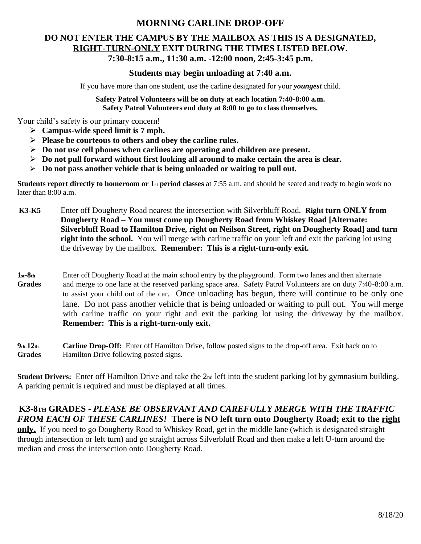## **MORNING CARLINE DROP-OFF**

# **DO NOT ENTER THE CAMPUS BY THE MAILBOX AS THIS IS A DESIGNATED, RIGHT-TURN-ONLY EXIT DURING THE TIMES LISTED BELOW. 7:30-8:15 a.m., 11:30 a.m. -12:00 noon, 2:45-3:45 p.m.**

### **Students may begin unloading at 7:40 a.m.**

If you have more than one student, use the carline designated for your *youngest* child.

**Safety Patrol Volunteers will be on duty at each location 7:40-8:00 a.m. Safety Patrol Volunteers end duty at 8:00 to go to class themselves.**

Your child's safety is our primary concern!

- ➢ **Campus-wide speed limit is 7 mph.**
- ➢ **Please be courteous to others and obey the carline rules.**
- ➢ **Do not use cell phones when carlines are operating and children are present.**
- ➢ **Do not pull forward without first looking all around to make certain the area is clear.**
- ➢ **Do not pass another vehicle that is being unloaded or waiting to pull out.**

**Students report directly to homeroom or 1<sup>st</sup> period classes at 7:55 a.m. and should be seated and ready to begin work no** later than 8:00 a.m.

- **K3-K5** Enter off Dougherty Road nearest the intersection with Silverbluff Road. **Right turn ONLY from Dougherty Road – You must come up Dougherty Road from Whiskey Road [Alternate: Silverbluff Road to Hamilton Drive, right on Neilson Street, right on Dougherty Road] and turn right into the school.** You will merge with carline traffic on your left and exit the parking lot using the driveway by the mailbox. **Remember: This is a right-turn-only exit.**
- **1st-8th** Enter off Dougherty Road at the main school entry by the playground. Form two lanes and then alternate Grades and merge to one lane at the reserved parking space area. Safety Patrol Volunteers are on duty 7:40-8:00 a.m. to assist your child out of the car. Once unloading has begun, there will continue to be only one lane. Do not pass another vehicle that is being unloaded or waiting to pull out. You will merge with carline traffic on your right and exit the parking lot using the driveway by the mailbox. **Remember: This is a right-turn-only exit.**
- **9th-12th Carline Drop-Off:** Enter off Hamilton Drive, follow posted signs to the drop-off area. Exit back on to **Grades** Hamilton Drive following posted signs.

**Student Drivers:** Enter off Hamilton Drive and take the 2nd left into the student parking lot by gymnasium building. A parking permit is required and must be displayed at all times.

# **K3-8TH GRADES -** *PLEASE BE OBSERVANT AND CAREFULLY MERGE WITH THE TRAFFIC FROM EACH OF THESE CARLINES!* **There is NO left turn onto Dougherty Road; exit to the right**

**only.** If you need to go Dougherty Road to Whiskey Road, get in the middle lane (which is designated straight through intersection or left turn) and go straight across Silverbluff Road and then make a left U-turn around the median and cross the intersection onto Dougherty Road.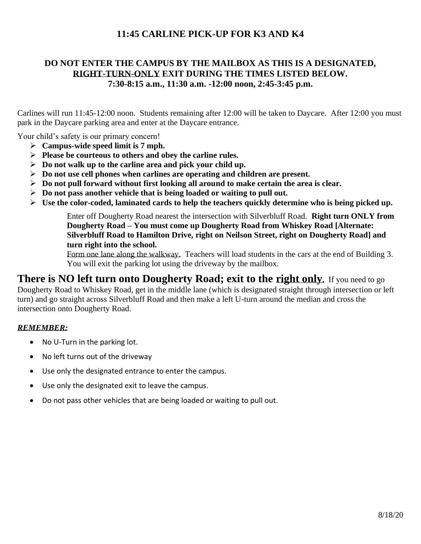# **11:45 CARLINE PICK-UP FOR K3 AND K4**

## **DO NOT ENTER THE CAMPUS BY THE MAILBOX AS THIS IS A DESIGNATED, RIGHT-TURN-ONLY EXIT DURING THE TIMES LISTED BELOW. 7:30-8:15 a.m., 11:30 a.m. -12:00 noon, 2:45-3:45 p.m.**

Carlines will run 11:45-12:00 noon. Students remaining after 12:00 will be taken to Daycare. After 12:00 you must park in the Daycare parking area and enter at the Daycare entrance.

Your child's safety is our primary concern!

- ➢ **Campus-wide speed limit is 7 mph.**
- ➢ **Please be courteous to others and obey the carline rules.**
- ➢ **Do not walk up to the carline area and pick your child up.**
- ➢ **Do not use cell phones when carlines are operating and children are present.**
- ➢ **Do not pull forward without first looking all around to make certain the area is clear.**
- ➢ **Do not pass another vehicle that is being loaded or waiting to pull out.**
- ➢ **Use the color-coded, laminated cards to help the teachers quickly determine who is being picked up.**

Enter off Dougherty Road nearest the intersection with Silverbluff Road. **Right turn ONLY from Dougherty Road – You must come up Dougherty Road from Whiskey Road [Alternate: Silverbluff Road to Hamilton Drive, right on Neilson Street, right on Dougherty Road] and turn right into the school.**

Form one lane along the walkway. Teachers will load students in the cars at the end of Building 3. You will exit the parking lot using the driveway by the mailbox.

**There is NO left turn onto Dougherty Road; exit to the right only.** If you need to go Dougherty Road to Whiskey Road, get in the middle lane (which is designated straight through intersection or left turn) and go straight across Silverbluff Road and then make a left U-turn around the median and cross the intersection onto Dougherty Road.

#### *REMEMBER:*

- No U-Turn in the parking lot.
- No left turns out of the driveway
- Use only the designated entrance to enter the campus.
- Use only the designated exit to leave the campus.
- Do not pass other vehicles that are being loaded or waiting to pull out.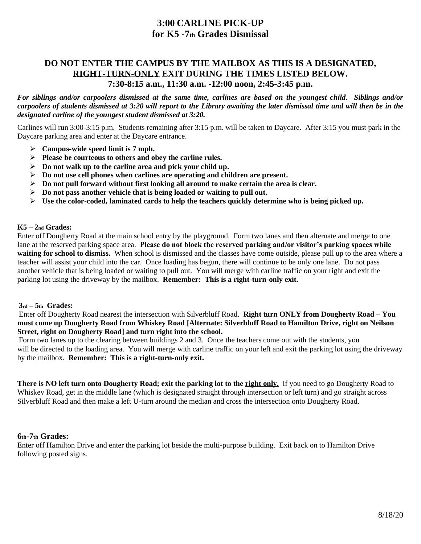# **3:00 CARLINE PICK-UP for K5 -7th Grades Dismissal**

## **DO NOT ENTER THE CAMPUS BY THE MAILBOX AS THIS IS A DESIGNATED, RIGHT-TURN-ONLY EXIT DURING THE TIMES LISTED BELOW. 7:30-8:15 a.m., 11:30 a.m. -12:00 noon, 2:45-3:45 p.m.**

*For siblings and/or carpoolers dismissed at the same time, carlines are based on the youngest child. Siblings and/or carpoolers of students dismissed at 3:20 will report to the Library awaiting the later dismissal time and will then be in the designated carline of the youngest student dismissed at 3:20.*

Carlines will run 3:00-3:15 p.m. Students remaining after 3:15 p.m. will be taken to Daycare. After 3:15 you must park in the Daycare parking area and enter at the Daycare entrance.

- ➢ **Campus-wide speed limit is 7 mph.**
- ➢ **Please be courteous to others and obey the carline rules.**
- ➢ **Do not walk up to the carline area and pick your child up.**
- ➢ **Do not use cell phones when carlines are operating and children are present.**
- ➢ **Do not pull forward without first looking all around to make certain the area is clear.**
- ➢ **Do not pass another vehicle that is being loaded or waiting to pull out.**
- ➢ **Use the color-coded, laminated cards to help the teachers quickly determine who is being picked up.**

#### **K5 – 2nd Grades:**

Enter off Dougherty Road at the main school entry by the playground. Form two lanes and then alternate and merge to one lane at the reserved parking space area. **Please do not block the reserved parking and/or visitor's parking spaces while waiting for school to dismiss.** When school is dismissed and the classes have come outside, please pull up to the area where a teacher will assist your child into the car. Once loading has begun, there will continue to be only one lane. Do not pass another vehicle that is being loaded or waiting to pull out. You will merge with carline traffic on your right and exit the parking lot using the driveway by the mailbox. **Remember: This is a right-turn-only exit.**

#### **3rd – 5th Grades:**

Enter off Dougherty Road nearest the intersection with Silverbluff Road. **Right turn ONLY from Dougherty Road – You must come up Dougherty Road from Whiskey Road [Alternate: Silverbluff Road to Hamilton Drive, right on Neilson Street, right on Dougherty Road] and turn right into the school.**

Form two lanes up to the clearing between buildings 2 and 3. Once the teachers come out with the students, you will be directed to the loading area. You will merge with carline traffic on your left and exit the parking lot using the driveway by the mailbox. **Remember: This is a right-turn-only exit.**

**There is NO left turn onto Dougherty Road; exit the parking lot to the right only.** If you need to go Dougherty Road to Whiskey Road, get in the middle lane (which is designated straight through intersection or left turn) and go straight across Silverbluff Road and then make a left U-turn around the median and cross the intersection onto Dougherty Road.

#### **6th-7th Grades:**

Enter off Hamilton Drive and enter the parking lot beside the multi-purpose building. Exit back on to Hamilton Drive following posted signs.